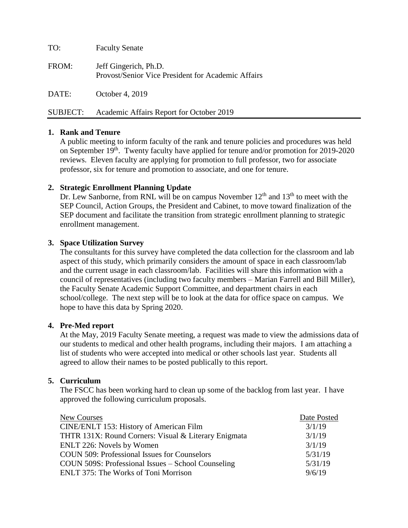TO: Faculty Senate FROM: Jeff Gingerich, Ph.D. Provost/Senior Vice President for Academic Affairs DATE: October 4, 2019 SUBJECT: Academic Affairs Report for October 2019

## **1. Rank and Tenure**

A public meeting to inform faculty of the rank and tenure policies and procedures was held on September 19<sup>th</sup>. Twenty faculty have applied for tenure and/or promotion for 2019-2020 reviews. Eleven faculty are applying for promotion to full professor, two for associate professor, six for tenure and promotion to associate, and one for tenure.

### **2. Strategic Enrollment Planning Update**

Dr. Lew Sanborne, from RNL will be on campus November  $12<sup>th</sup>$  and  $13<sup>th</sup>$  to meet with the SEP Council, Action Groups, the President and Cabinet, to move toward finalization of the SEP document and facilitate the transition from strategic enrollment planning to strategic enrollment management.

#### **3. Space Utilization Survey**

The consultants for this survey have completed the data collection for the classroom and lab aspect of this study, which primarily considers the amount of space in each classroom/lab and the current usage in each classroom/lab. Facilities will share this information with a council of representatives (including two faculty members – Marian Farrell and Bill Miller), the Faculty Senate Academic Support Committee, and department chairs in each school/college. The next step will be to look at the data for office space on campus. We hope to have this data by Spring 2020.

#### **4. Pre-Med report**

At the May, 2019 Faculty Senate meeting, a request was made to view the admissions data of our students to medical and other health programs, including their majors. I am attaching a list of students who were accepted into medical or other schools last year. Students all agreed to allow their names to be posted publically to this report.

#### **5. Curriculum**

The FSCC has been working hard to clean up some of the backlog from last year. I have approved the following curriculum proposals.

| New Courses                                          | Date Posted |
|------------------------------------------------------|-------------|
| CINE/ENLT 153: History of American Film              | 3/1/19      |
| THTR 131X: Round Corners: Visual & Literary Enigmata | 3/1/19      |
| ENLT 226: Novels by Women                            | 3/1/19      |
| <b>COUN 509: Professional Issues for Counselors</b>  | 5/31/19     |
| COUN 509S: Professional Issues – School Counseling   | 5/31/19     |
| ENLT 375: The Works of Toni Morrison                 | 9/6/19      |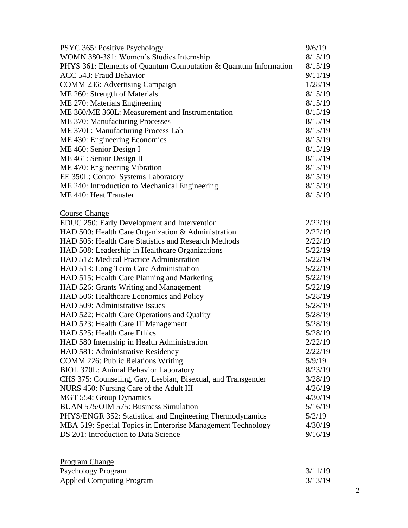| PSYC 365: Positive Psychology                                   | 9/6/19  |
|-----------------------------------------------------------------|---------|
| WOMN 380-381: Women's Studies Internship                        | 8/15/19 |
| PHYS 361: Elements of Quantum Computation & Quantum Information | 8/15/19 |
| ACC 543: Fraud Behavior                                         | 9/11/19 |
| COMM 236: Advertising Campaign                                  | 1/28/19 |
| ME 260: Strength of Materials                                   | 8/15/19 |
| ME 270: Materials Engineering                                   | 8/15/19 |
| ME 360/ME 360L: Measurement and Instrumentation                 | 8/15/19 |
| ME 370: Manufacturing Processes                                 | 8/15/19 |
| ME 370L: Manufacturing Process Lab                              | 8/15/19 |
| ME 430: Engineering Economics                                   | 8/15/19 |
| ME 460: Senior Design I                                         | 8/15/19 |
| ME 461: Senior Design II                                        | 8/15/19 |
| ME 470: Engineering Vibration                                   | 8/15/19 |
| EE 350L: Control Systems Laboratory                             | 8/15/19 |
| ME 240: Introduction to Mechanical Engineering                  | 8/15/19 |
| ME 440: Heat Transfer                                           | 8/15/19 |
|                                                                 |         |
| <b>Course Change</b>                                            |         |
| EDUC 250: Early Development and Intervention                    | 2/22/19 |
| HAD 500: Health Care Organization & Administration              | 2/22/19 |
| HAD 505: Health Care Statistics and Research Methods            | 2/22/19 |
| HAD 508: Leadership in Healthcare Organizations                 | 5/22/19 |
| HAD 512: Medical Practice Administration                        | 5/22/19 |
| HAD 513: Long Term Care Administration                          | 5/22/19 |
| HAD 515: Health Care Planning and Marketing                     | 5/22/19 |
| HAD 526: Grants Writing and Management                          | 5/22/19 |
| HAD 506: Healthcare Economics and Policy                        | 5/28/19 |
| HAD 509: Administrative Issues                                  | 5/28/19 |
| HAD 522: Health Care Operations and Quality                     | 5/28/19 |
| HAD 523: Health Care IT Management                              | 5/28/19 |
| HAD 525: Health Care Ethics                                     | 5/28/19 |
| HAD 580 Internship in Health Administration                     | 2/22/19 |
| HAD 581: Administrative Residency                               | 2/22/19 |
| <b>COMM 226: Public Relations Writing</b>                       | 5/9/19  |
| <b>BIOL 370L: Animal Behavior Laboratory</b>                    | 8/23/19 |
| CHS 375: Counseling, Gay, Lesbian, Bisexual, and Transgender    | 3/28/19 |
| NURS 450: Nursing Care of the Adult III                         | 4/26/19 |
| MGT 554: Group Dynamics                                         | 4/30/19 |
| <b>BUAN 575/OIM 575: Business Simulation</b>                    | 5/16/19 |
| PHYS/ENGR 352: Statistical and Engineering Thermodynamics       | 5/2/19  |
| MBA 519: Special Topics in Enterprise Management Technology     | 4/30/19 |
| DS 201: Introduction to Data Science                            | 9/16/19 |
|                                                                 |         |

| <b>Program Change</b>            |         |
|----------------------------------|---------|
| <b>Psychology Program</b>        | 3/11/19 |
| <b>Applied Computing Program</b> | 3/13/19 |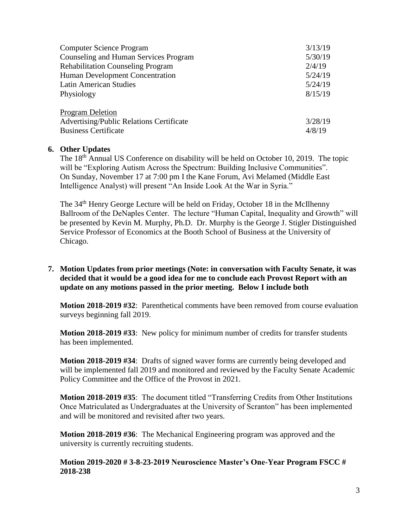| <b>Computer Science Program</b>                 | 3/13/19 |
|-------------------------------------------------|---------|
| Counseling and Human Services Program           | 5/30/19 |
| <b>Rehabilitation Counseling Program</b>        | 2/4/19  |
| Human Development Concentration                 | 5/24/19 |
| <b>Latin American Studies</b>                   | 5/24/19 |
| Physiology                                      | 8/15/19 |
| <b>Program Deletion</b>                         |         |
| <b>Advertising/Public Relations Certificate</b> | 3/28/19 |
| <b>Business Certificate</b>                     | 4/8/19  |

## **6. Other Updates**

The 18<sup>th</sup> Annual US Conference on disability will be held on October 10, 2019. The topic will be "Exploring Autism Across the Spectrum: Building Inclusive Communities". On Sunday, November 17 at 7:00 pm I the Kane Forum, Avi Melamed (Middle East Intelligence Analyst) will present "An Inside Look At the War in Syria."

The 34<sup>th</sup> Henry George Lecture will be held on Friday, October 18 in the McIlhenny Ballroom of the DeNaples Center. The lecture "Human Capital, Inequality and Growth" will be presented by Kevin M. Murphy, Ph.D. Dr. Murphy is the George J. Stigler Distinguished Service Professor of Economics at the Booth School of Business at the University of Chicago.

## **7. Motion Updates from prior meetings (Note: in conversation with Faculty Senate, it was decided that it would be a good idea for me to conclude each Provost Report with an update on any motions passed in the prior meeting. Below I include both**

**Motion 2018-2019 #32**: Parenthetical comments have been removed from course evaluation surveys beginning fall 2019.

**Motion 2018-2019 #33**: New policy for minimum number of credits for transfer students has been implemented.

**Motion 2018-2019 #34**: Drafts of signed waver forms are currently being developed and will be implemented fall 2019 and monitored and reviewed by the Faculty Senate Academic Policy Committee and the Office of the Provost in 2021.

**Motion 2018-2019 #35**: The document titled "Transferring Credits from Other Institutions Once Matriculated as Undergraduates at the University of Scranton" has been implemented and will be monitored and revisited after two years.

**Motion 2018-2019 #36**: The Mechanical Engineering program was approved and the university is currently recruiting students.

**Motion 2019-2020 # 3-8-23-2019 Neuroscience Master's One-Year Program FSCC # 2018-238**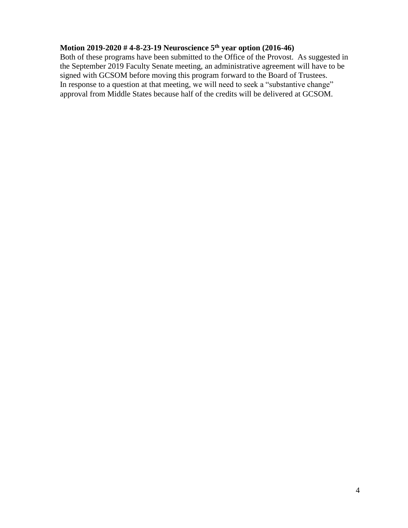## **Motion 2019-2020 # 4-8-23-19 Neuroscience 5th year option (2016-46)**

Both of these programs have been submitted to the Office of the Provost. As suggested in the September 2019 Faculty Senate meeting, an administrative agreement will have to be signed with GCSOM before moving this program forward to the Board of Trustees. In response to a question at that meeting, we will need to seek a "substantive change" approval from Middle States because half of the credits will be delivered at GCSOM.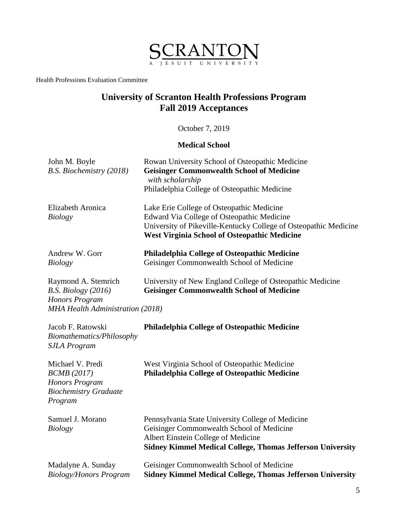

Health Professions Evaluation Committee

# **University of Scranton Health Professions Program Fall 2019 Acceptances**

October 7, 2019

## **Medical School**

| John M. Boyle<br>B.S. Biochemistry (2018)                                                                 | Rowan University School of Osteopathic Medicine<br><b>Geisinger Commonwealth School of Medicine</b><br>with scholarship<br>Philadelphia College of Osteopathic Medicine                                            |
|-----------------------------------------------------------------------------------------------------------|--------------------------------------------------------------------------------------------------------------------------------------------------------------------------------------------------------------------|
| Elizabeth Aronica<br>Biology                                                                              | Lake Erie College of Osteopathic Medicine<br>Edward Via College of Osteopathic Medicine<br>University of Pikeville-Kentucky College of Osteopathic Medicine<br><b>West Virginia School of Osteopathic Medicine</b> |
| Andrew W. Gorr<br>Biology                                                                                 | <b>Philadelphia College of Osteopathic Medicine</b><br>Geisinger Commonwealth School of Medicine                                                                                                                   |
| Raymond A. Stemrich<br>B.S. Biology $(2016)$<br>Honors Program<br><b>MHA Health Administration (2018)</b> | University of New England College of Osteopathic Medicine<br><b>Geisinger Commonwealth School of Medicine</b>                                                                                                      |

| Jacob F. Ratowski<br>Biomathematics/Philosophy<br><b>SJLA Program</b>                               | <b>Philadelphia College of Osteopathic Medicine</b>                                                                                                                                                        |
|-----------------------------------------------------------------------------------------------------|------------------------------------------------------------------------------------------------------------------------------------------------------------------------------------------------------------|
| Michael V. Predi<br><b>BCMB</b> (2017)<br>Honors Program<br><b>Biochemistry Graduate</b><br>Program | West Virginia School of Osteopathic Medicine<br>Philadelphia College of Osteopathic Medicine                                                                                                               |
| Samuel J. Morano<br><b>Biology</b>                                                                  | Pennsylvania State University College of Medicine<br>Geisinger Commonwealth School of Medicine<br>Albert Einstein College of Medicine<br><b>Sidney Kimmel Medical College, Thomas Jefferson University</b> |
| Madalyne A. Sunday<br><b>Biology/Honors Program</b>                                                 | Geisinger Commonwealth School of Medicine<br><b>Sidney Kimmel Medical College, Thomas Jefferson University</b>                                                                                             |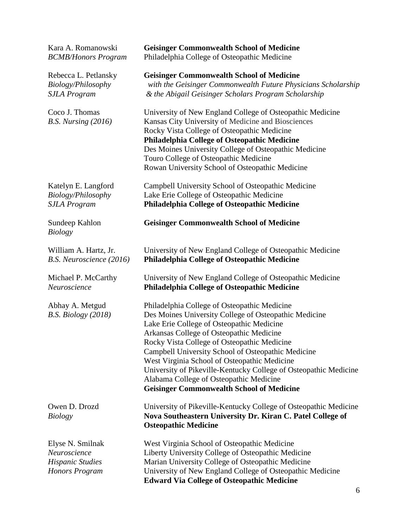| Kara A. Romanowski                                                                   | <b>Geisinger Commonwealth School of Medicine</b>                                                                                                                                                                                                                                                                                                                                                                                                                                                                       |
|--------------------------------------------------------------------------------------|------------------------------------------------------------------------------------------------------------------------------------------------------------------------------------------------------------------------------------------------------------------------------------------------------------------------------------------------------------------------------------------------------------------------------------------------------------------------------------------------------------------------|
| <b>BCMB/Honors Program</b>                                                           | Philadelphia College of Osteopathic Medicine                                                                                                                                                                                                                                                                                                                                                                                                                                                                           |
| Rebecca L. Petlansky                                                                 | <b>Geisinger Commonwealth School of Medicine</b>                                                                                                                                                                                                                                                                                                                                                                                                                                                                       |
| Biology/Philosophy                                                                   | with the Geisinger Commonwealth Future Physicians Scholarship                                                                                                                                                                                                                                                                                                                                                                                                                                                          |
| <b>SJLA Program</b>                                                                  | & the Abigail Geisinger Scholars Program Scholarship                                                                                                                                                                                                                                                                                                                                                                                                                                                                   |
| Coco J. Thomas<br>$B.S.$ Nursing $(2016)$                                            | University of New England College of Osteopathic Medicine<br>Kansas City University of Medicine and Biosciences<br>Rocky Vista College of Osteopathic Medicine<br>Philadelphia College of Osteopathic Medicine<br>Des Moines University College of Osteopathic Medicine<br>Touro College of Osteopathic Medicine<br>Rowan University School of Osteopathic Medicine                                                                                                                                                    |
| Katelyn E. Langford                                                                  | Campbell University School of Osteopathic Medicine                                                                                                                                                                                                                                                                                                                                                                                                                                                                     |
| Biology/Philosophy                                                                   | Lake Erie College of Osteopathic Medicine                                                                                                                                                                                                                                                                                                                                                                                                                                                                              |
| <b>SJLA Program</b>                                                                  | <b>Philadelphia College of Osteopathic Medicine</b>                                                                                                                                                                                                                                                                                                                                                                                                                                                                    |
| Sundeep Kahlon<br><b>Biology</b>                                                     | <b>Geisinger Commonwealth School of Medicine</b>                                                                                                                                                                                                                                                                                                                                                                                                                                                                       |
| William A. Hartz, Jr.                                                                | University of New England College of Osteopathic Medicine                                                                                                                                                                                                                                                                                                                                                                                                                                                              |
| B.S. Neuroscience (2016)                                                             | <b>Philadelphia College of Osteopathic Medicine</b>                                                                                                                                                                                                                                                                                                                                                                                                                                                                    |
| Michael P. McCarthy                                                                  | University of New England College of Osteopathic Medicine                                                                                                                                                                                                                                                                                                                                                                                                                                                              |
| Neuroscience                                                                         | <b>Philadelphia College of Osteopathic Medicine</b>                                                                                                                                                                                                                                                                                                                                                                                                                                                                    |
| Abhay A. Metgud<br>B.S. Biology (2018)                                               | Philadelphia College of Osteopathic Medicine<br>Des Moines University College of Osteopathic Medicine<br>Lake Erie College of Osteopathic Medicine<br>Arkansas College of Osteopathic Medicine<br>Rocky Vista College of Osteopathic Medicine<br>Campbell University School of Osteopathic Medicine<br>West Virginia School of Osteopathic Medicine<br>University of Pikeville-Kentucky College of Osteopathic Medicine<br>Alabama College of Osteopathic Medicine<br><b>Geisinger Commonwealth School of Medicine</b> |
| Owen D. Drozd<br><b>Biology</b>                                                      | University of Pikeville-Kentucky College of Osteopathic Medicine<br>Nova Southeastern University Dr. Kiran C. Patel College of<br><b>Osteopathic Medicine</b>                                                                                                                                                                                                                                                                                                                                                          |
| Elyse N. Smilnak<br>Neuroscience<br><b>Hispanic Studies</b><br><b>Honors Program</b> | West Virginia School of Osteopathic Medicine<br>Liberty University College of Osteopathic Medicine<br>Marian University College of Osteopathic Medicine<br>University of New England College of Osteopathic Medicine<br><b>Edward Via College of Osteopathic Medicine</b>                                                                                                                                                                                                                                              |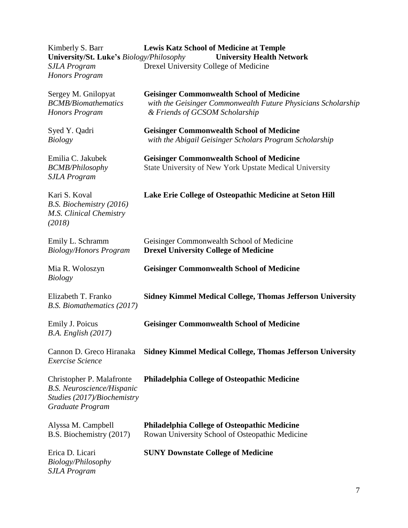| Kimberly S. Barr<br>University/St. Luke's Biology/Philosophy                                                      | <b>Lewis Katz School of Medicine at Temple</b><br><b>University Health Network</b>                                                                  |
|-------------------------------------------------------------------------------------------------------------------|-----------------------------------------------------------------------------------------------------------------------------------------------------|
| <b>SJLA Program</b><br>Honors Program                                                                             | Drexel University College of Medicine                                                                                                               |
| Sergey M. Gnilopyat<br><b>BCMB/Biomathematics</b><br>Honors Program                                               | <b>Geisinger Commonwealth School of Medicine</b><br>with the Geisinger Commonwealth Future Physicians Scholarship<br>& Friends of GCSOM Scholarship |
| Syed Y. Qadri<br><b>Biology</b>                                                                                   | <b>Geisinger Commonwealth School of Medicine</b><br>with the Abigail Geisinger Scholars Program Scholarship                                         |
| Emilia C. Jakubek<br><b>BCMB/Philosophy</b><br><b>SJLA Program</b>                                                | <b>Geisinger Commonwealth School of Medicine</b><br>State University of New York Upstate Medical University                                         |
| Kari S. Koval<br>B.S. Biochemistry (2016)<br>M.S. Clinical Chemistry<br>(2018)                                    | Lake Erie College of Osteopathic Medicine at Seton Hill                                                                                             |
| Emily L. Schramm<br><b>Biology/Honors Program</b>                                                                 | Geisinger Commonwealth School of Medicine<br><b>Drexel University College of Medicine</b>                                                           |
| Mia R. Woloszyn<br><b>Biology</b>                                                                                 | <b>Geisinger Commonwealth School of Medicine</b>                                                                                                    |
| Elizabeth T. Franko<br>B.S. Biomathematics (2017)                                                                 | <b>Sidney Kimmel Medical College, Thomas Jefferson University</b>                                                                                   |
| Emily J. Poicus<br>$B.A.$ English $(2017)$                                                                        | <b>Geisinger Commonwealth School of Medicine</b>                                                                                                    |
| Cannon D. Greco Hiranaka<br>Exercise Science                                                                      | <b>Sidney Kimmel Medical College, Thomas Jefferson University</b>                                                                                   |
| Christopher P. Malafronte<br><b>B.S. Neuroscience/Hispanic</b><br>Studies (2017)/Biochemistry<br>Graduate Program | <b>Philadelphia College of Osteopathic Medicine</b>                                                                                                 |
| Alyssa M. Campbell<br>B.S. Biochemistry (2017)                                                                    | <b>Philadelphia College of Osteopathic Medicine</b><br>Rowan University School of Osteopathic Medicine                                              |
| Erica D. Licari<br>Biology/Philosophy<br><b>SJLA Program</b>                                                      | <b>SUNY Downstate College of Medicine</b>                                                                                                           |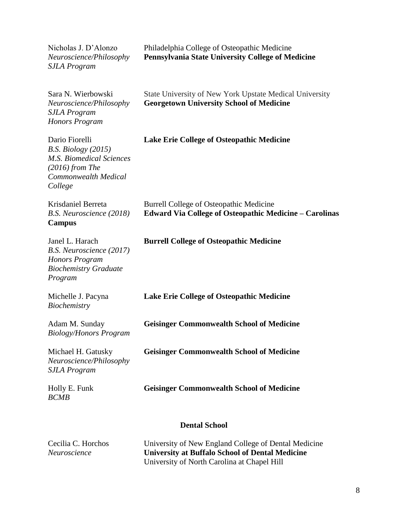| Nicholas J. D'Alonzo<br>Neuroscience/Philosophy<br><b>SJLA Program</b>                                                    | Philadelphia College of Osteopathic Medicine<br>Pennsylvania State University College of Medicine                                                             |
|---------------------------------------------------------------------------------------------------------------------------|---------------------------------------------------------------------------------------------------------------------------------------------------------------|
| Sara N. Wierbowski<br>Neuroscience/Philosophy<br><b>SJLA Program</b><br><b>Honors Program</b>                             | State University of New York Upstate Medical University<br><b>Georgetown University School of Medicine</b>                                                    |
| Dario Fiorelli<br>B.S. Biology (2015)<br>M.S. Biomedical Sciences<br>$(2016)$ from The<br>Commonwealth Medical<br>College | <b>Lake Erie College of Osteopathic Medicine</b>                                                                                                              |
| Krisdaniel Berreta<br>B.S. Neuroscience (2018)<br>Campus                                                                  | Burrell College of Osteopathic Medicine<br><b>Edward Via College of Osteopathic Medicine - Carolinas</b>                                                      |
| Janel L. Harach<br>B.S. Neuroscience (2017)<br><b>Honors Program</b><br><b>Biochemistry Graduate</b><br>Program           | <b>Burrell College of Osteopathic Medicine</b>                                                                                                                |
| Michelle J. Pacyna<br>Biochemistry                                                                                        | <b>Lake Erie College of Osteopathic Medicine</b>                                                                                                              |
| Adam M. Sunday<br><b>Biology/Honors Program</b>                                                                           | <b>Geisinger Commonwealth School of Medicine</b>                                                                                                              |
| Michael H. Gatusky<br>Neuroscience/Philosophy<br><b>SJLA Program</b>                                                      | <b>Geisinger Commonwealth School of Medicine</b>                                                                                                              |
| Holly E. Funk<br><b>BCMB</b>                                                                                              | <b>Geisinger Commonwealth School of Medicine</b>                                                                                                              |
|                                                                                                                           | <b>Dental School</b>                                                                                                                                          |
| Cecilia C. Horchos<br>Neuroscience                                                                                        | University of New England College of Dental Medicine<br><b>University at Buffalo School of Dental Medicine</b><br>University of North Carolina at Chapel Hill |